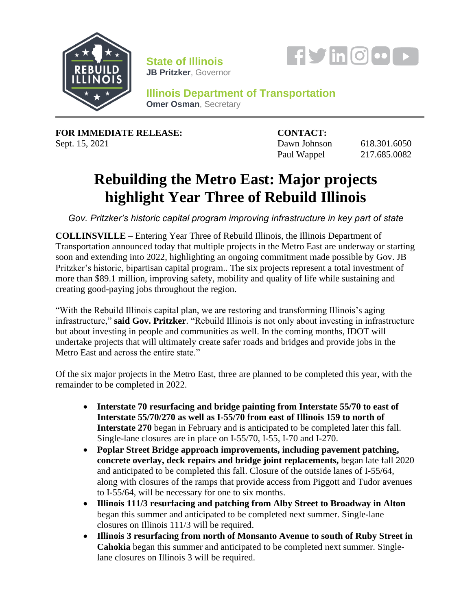

**State of Illinois JB Pritzker**, Governor



**Illinois Department of Transportation Omer Osman, Secretary** 

**FOR IMMEDIATE RELEASE: CONTACT:**

Sept. 15, 2021 **Dawn Johnson** 618.301.6050 Paul Wappel 217.685.0082

## **Rebuilding the Metro East: Major projects highlight Year Three of Rebuild Illinois**

*Gov. Pritzker's historic capital program improving infrastructure in key part of state*

**COLLINSVILLE** – Entering Year Three of Rebuild Illinois, the Illinois Department of Transportation announced today that multiple projects in the Metro East are underway or starting soon and extending into 2022, highlighting an ongoing commitment made possible by Gov. JB Pritzker's historic, bipartisan capital program.. The six projects represent a total investment of more than \$89.1 million, improving safety, mobility and quality of life while sustaining and creating good-paying jobs throughout the region.

"With the Rebuild Illinois capital plan, we are restoring and transforming Illinois's aging infrastructure," **said Gov. Pritzker**. "Rebuild Illinois is not only about investing in infrastructure but about investing in people and communities as well. In the coming months, IDOT will undertake projects that will ultimately create safer roads and bridges and provide jobs in the Metro East and across the entire state."

Of the six major projects in the Metro East, three are planned to be completed this year, with the remainder to be completed in 2022.

- **Interstate 70 resurfacing and bridge painting from Interstate 55/70 to east of Interstate 55/70/270 as well as I-55/70 from east of Illinois 159 to north of Interstate 270** began in February and is anticipated to be completed later this fall. Single-lane closures are in place on I-55/70, I-55, I-70 and I-270.
- **Poplar Street Bridge approach improvements, including pavement patching, concrete overlay, deck repairs and bridge joint replacements,** began late fall 2020 and anticipated to be completed this fall. Closure of the outside lanes of I-55/64, along with closures of the ramps that provide access from Piggott and Tudor avenues to I-55/64, will be necessary for one to six months.
- **Illinois 111/3 resurfacing and patching from Alby Street to Broadway in Alton**  began this summer and anticipated to be completed next summer. Single-lane closures on Illinois 111/3 will be required.
- **Illinois 3 resurfacing from north of Monsanto Avenue to south of Ruby Street in Cahokia** began this summer and anticipated to be completed next summer. Singlelane closures on Illinois 3 will be required.